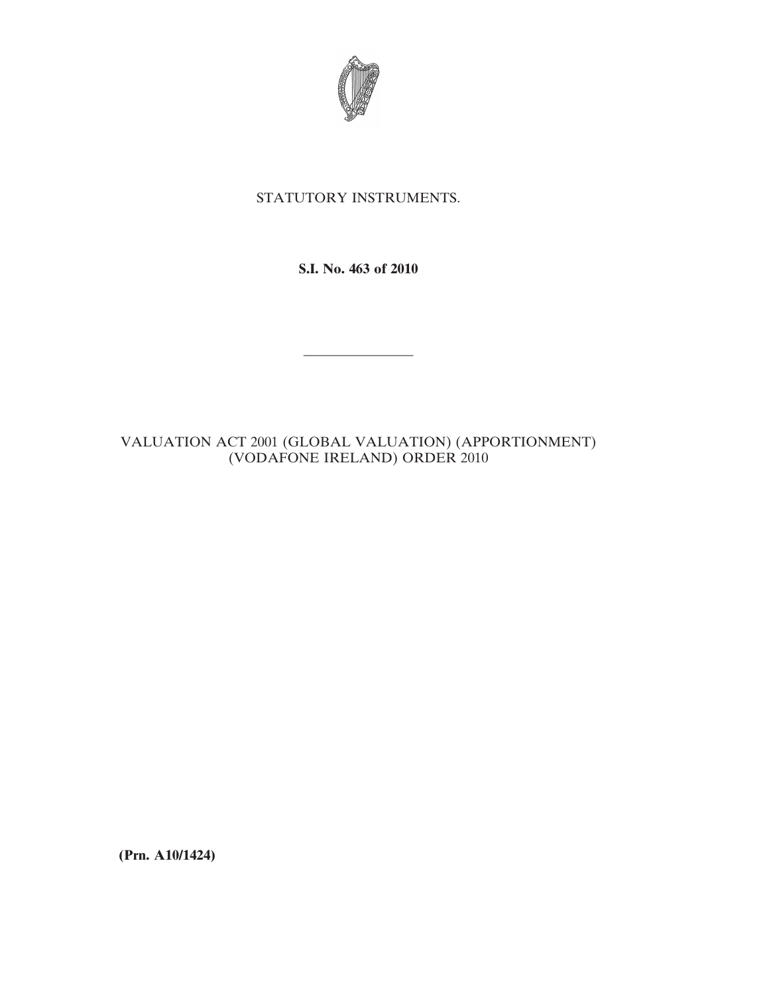

## STATUTORY INSTRUMENTS.

**S.I. No. 463 of 2010**

————————

## VALUATION ACT 2001 (GLOBAL VALUATION) (APPORTIONMENT) (VODAFONE IRELAND) ORDER 2010

**(Prn. A10/1424)**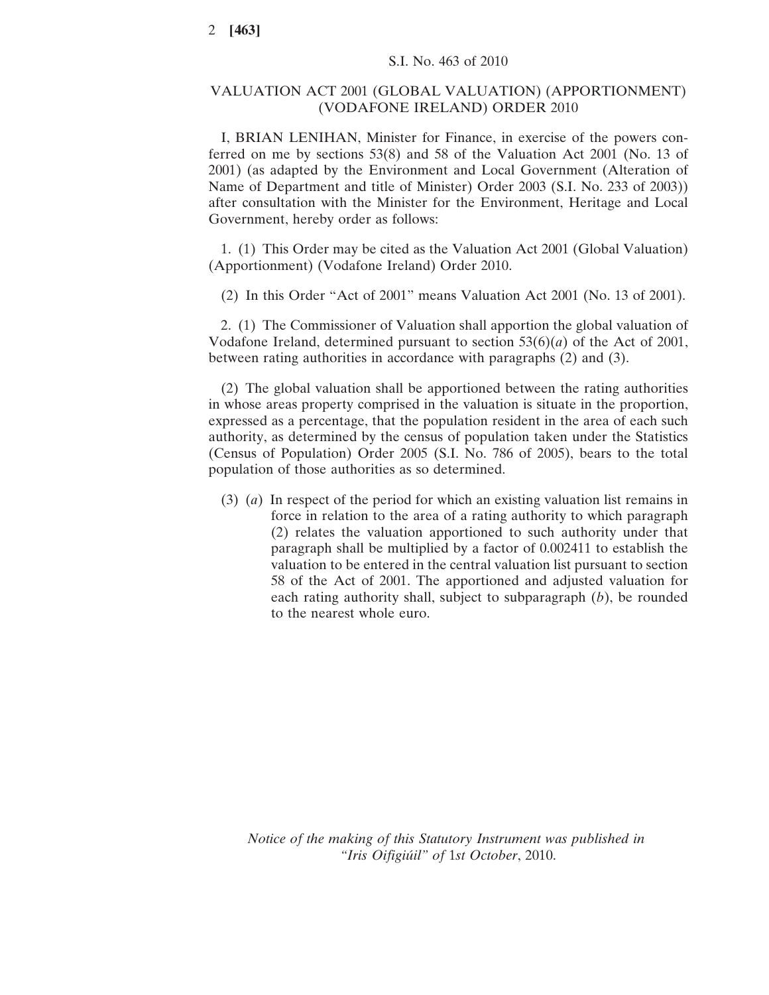## VALUATION ACT 2001 (GLOBAL VALUATION) (APPORTIONMENT) (VODAFONE IRELAND) ORDER 2010

I, BRIAN LENIHAN, Minister for Finance, in exercise of the powers conferred on me by sections 53(8) and 58 of the Valuation Act 2001 (No. 13 of 2001) (as adapted by the Environment and Local Government (Alteration of Name of Department and title of Minister) Order 2003 (S.I. No. 233 of 2003)) after consultation with the Minister for the Environment, Heritage and Local Government, hereby order as follows:

1. (1) This Order may be cited as the Valuation Act 2001 (Global Valuation) (Apportionment) (Vodafone Ireland) Order 2010.

(2) In this Order "Act of 2001" means Valuation Act 2001 (No. 13 of 2001).

2. (1) The Commissioner of Valuation shall apportion the global valuation of Vodafone Ireland, determined pursuant to section 53(6)(*a*) of the Act of 2001, between rating authorities in accordance with paragraphs (2) and (3).

(2) The global valuation shall be apportioned between the rating authorities in whose areas property comprised in the valuation is situate in the proportion, expressed as a percentage, that the population resident in the area of each such authority, as determined by the census of population taken under the Statistics (Census of Population) Order 2005 (S.I. No. 786 of 2005), bears to the total population of those authorities as so determined.

(3) (*a*) In respect of the period for which an existing valuation list remains in force in relation to the area of a rating authority to which paragraph (2) relates the valuation apportioned to such authority under that paragraph shall be multiplied by a factor of 0.002411 to establish the valuation to be entered in the central valuation list pursuant to section 58 of the Act of 2001. The apportioned and adjusted valuation for each rating authority shall, subject to subparagraph (*b*), be rounded to the nearest whole euro.

*Notice of the making of this Statutory Instrument was published in "Iris Oifigiúil" of* 1*st October*, 2010.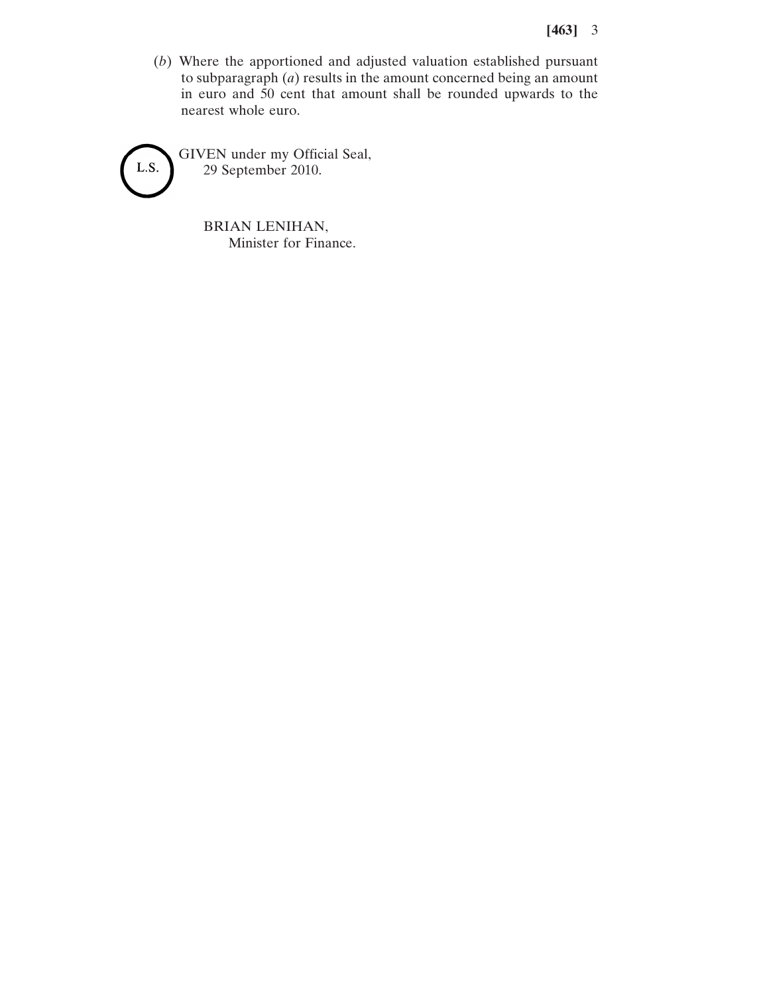## **[463]** 3

(*b*) Where the apportioned and adjusted valuation established pursuant to subparagraph (*a*) results in the amount concerned being an amount in euro and 50 cent that amount shall be rounded upwards to the nearest whole euro.



GIVEN under my Official Seal, 29 September 2010.

> BRIAN LENIHAN, Minister for Finance.